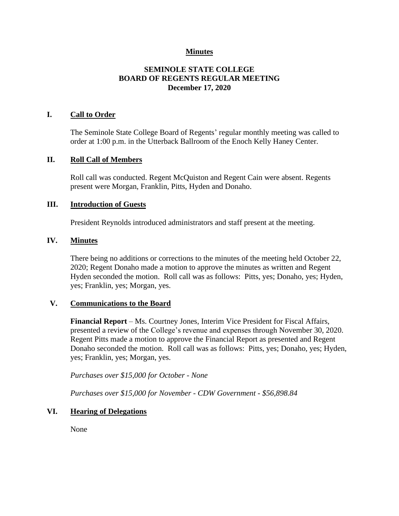### **Minutes**

# **SEMINOLE STATE COLLEGE BOARD OF REGENTS REGULAR MEETING December 17, 2020**

### **I. Call to Order**

The Seminole State College Board of Regents' regular monthly meeting was called to order at 1:00 p.m. in the Utterback Ballroom of the Enoch Kelly Haney Center.

#### **II. Roll Call of Members**

Roll call was conducted. Regent McQuiston and Regent Cain were absent. Regents present were Morgan, Franklin, Pitts, Hyden and Donaho.

#### **III. Introduction of Guests**

President Reynolds introduced administrators and staff present at the meeting.

### **IV. Minutes**

There being no additions or corrections to the minutes of the meeting held October 22, 2020; Regent Donaho made a motion to approve the minutes as written and Regent Hyden seconded the motion. Roll call was as follows: Pitts, yes; Donaho, yes; Hyden, yes; Franklin, yes; Morgan, yes.

### **V. Communications to the Board**

**Financial Report** – Ms. Courtney Jones, Interim Vice President for Fiscal Affairs, presented a review of the College's revenue and expenses through November 30, 2020. Regent Pitts made a motion to approve the Financial Report as presented and Regent Donaho seconded the motion. Roll call was as follows: Pitts, yes; Donaho, yes; Hyden, yes; Franklin, yes; Morgan, yes.

*Purchases over \$15,000 for October - None*

*Purchases over \$15,000 for November - CDW Government - \$56,898.84*

### **VI. Hearing of Delegations**

None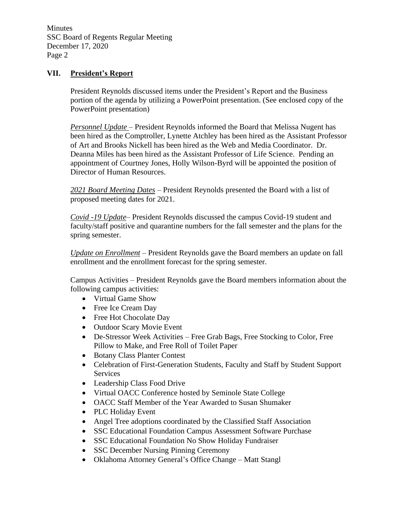Minutes SSC Board of Regents Regular Meeting December 17, 2020 Page 2

### **VII. President's Report**

President Reynolds discussed items under the President's Report and the Business portion of the agenda by utilizing a PowerPoint presentation. (See enclosed copy of the PowerPoint presentation)

*Personnel Update* – President Reynolds informed the Board that Melissa Nugent has been hired as the Comptroller, Lynette Atchley has been hired as the Assistant Professor of Art and Brooks Nickell has been hired as the Web and Media Coordinator. Dr. Deanna Miles has been hired as the Assistant Professor of Life Science. Pending an appointment of Courtney Jones, Holly Wilson-Byrd will be appointed the position of Director of Human Resources.

*2021 Board Meeting Dates* – President Reynolds presented the Board with a list of proposed meeting dates for 2021.

*Covid -19 Update*– President Reynolds discussed the campus Covid-19 student and faculty/staff positive and quarantine numbers for the fall semester and the plans for the spring semester.

*Update on Enrollment* – President Reynolds gave the Board members an update on fall enrollment and the enrollment forecast for the spring semester.

Campus Activities – President Reynolds gave the Board members information about the following campus activities:

- Virtual Game Show
- Free Ice Cream Day
- Free Hot Chocolate Day
- Outdoor Scary Movie Event
- De-Stressor Week Activities Free Grab Bags, Free Stocking to Color, Free Pillow to Make, and Free Roll of Toilet Paper
- Botany Class Planter Contest
- Celebration of First-Generation Students, Faculty and Staff by Student Support Services
- Leadership Class Food Drive
- Virtual OACC Conference hosted by Seminole State College
- OACC Staff Member of the Year Awarded to Susan Shumaker
- PLC Holiday Event
- Angel Tree adoptions coordinated by the Classified Staff Association
- SSC Educational Foundation Campus Assessment Software Purchase
- SSC Educational Foundation No Show Holiday Fundraiser
- SSC December Nursing Pinning Ceremony
- Oklahoma Attorney General's Office Change Matt Stangl